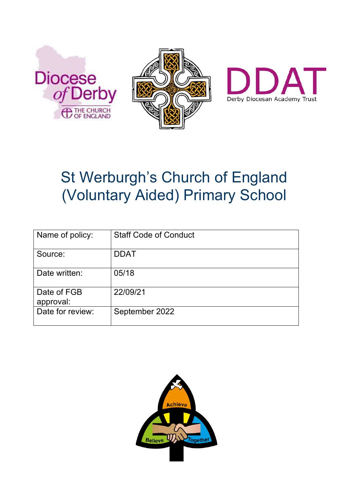





# St Werburgh's Church of England (Voluntary Aided) Primary School

| Name of policy:          | <b>Staff Code of Conduct</b> |
|--------------------------|------------------------------|
| Source:                  | <b>DDAT</b>                  |
| Date written:            | 05/18                        |
| Date of FGB<br>approval: | 22/09/21                     |
| Date for review:         | September 2022               |

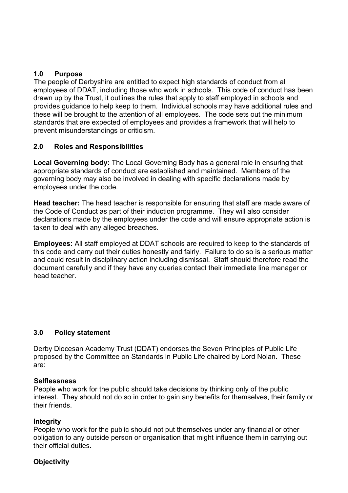## **1.0 Purpose**

 The people of Derbyshire are entitled to expect high standards of conduct from all employees of DDAT, including those who work in schools. This code of conduct has been drawn up by the Trust, it outlines the rules that apply to staff employed in schools and provides guidance to help keep to them. Individual schools may have additional rules and these will be brought to the attention of all employees. The code sets out the minimum standards that are expected of employees and provides a framework that will help to prevent misunderstandings or criticism.

#### **2.0 Roles and Responsibilities**

**Local Governing body:** The Local Governing Body has a general role in ensuring that appropriate standards of conduct are established and maintained. Members of the governing body may also be involved in dealing with specific declarations made by employees under the code.

**Head teacher:** The head teacher is responsible for ensuring that staff are made aware of the Code of Conduct as part of their induction programme. They will also consider declarations made by the employees under the code and will ensure appropriate action is taken to deal with any alleged breaches.

**Employees:** All staff employed at DDAT schools are required to keep to the standards of this code and carry out their duties honestly and fairly. Failure to do so is a serious matter and could result in disciplinary action including dismissal. Staff should therefore read the document carefully and if they have any queries contact their immediate line manager or head teacher.

## **3.0 Policy statement**

Derby Diocesan Academy Trust (DDAT) endorses the Seven Principles of Public Life proposed by the Committee on Standards in Public Life chaired by Lord Nolan. These are:

#### **Selflessness**

 People who work for the public should take decisions by thinking only of the public interest. They should not do so in order to gain any benefits for themselves, their family or their friends.

#### **Integrity**

People who work for the public should not put themselves under any financial or other obligation to any outside person or organisation that might influence them in carrying out their official duties.

#### **Objectivity**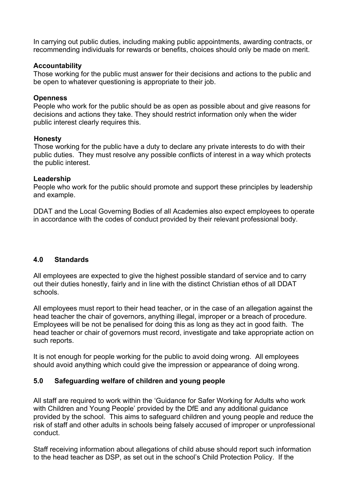In carrying out public duties, including making public appointments, awarding contracts, or recommending individuals for rewards or benefits, choices should only be made on merit.

#### **Accountability**

Those working for the public must answer for their decisions and actions to the public and be open to whatever questioning is appropriate to their job.

#### **Openness**

People who work for the public should be as open as possible about and give reasons for decisions and actions they take. They should restrict information only when the wider public interest clearly requires this.

#### **Honesty**

 Those working for the public have a duty to declare any private interests to do with their public duties. They must resolve any possible conflicts of interest in a way which protects the public interest.

#### **Leadership**

People who work for the public should promote and support these principles by leadership and example.

DDAT and the Local Governing Bodies of all Academies also expect employees to operate in accordance with the codes of conduct provided by their relevant professional body.

## **4.0 Standards**

All employees are expected to give the highest possible standard of service and to carry out their duties honestly, fairly and in line with the distinct Christian ethos of all DDAT schools.

All employees must report to their head teacher, or in the case of an allegation against the head teacher the chair of governors, anything illegal, improper or a breach of procedure. Employees will be not be penalised for doing this as long as they act in good faith. The head teacher or chair of governors must record, investigate and take appropriate action on such reports.

It is not enough for people working for the public to avoid doing wrong. All employees should avoid anything which could give the impression or appearance of doing wrong.

## **5.0 Safeguarding welfare of children and young people**

All staff are required to work within the 'Guidance for Safer Working for Adults who work with Children and Young People' provided by the DfE and any additional guidance provided by the school. This aims to safeguard children and young people and reduce the risk of staff and other adults in schools being falsely accused of improper or unprofessional conduct.

Staff receiving information about allegations of child abuse should report such information to the head teacher as DSP, as set out in the school's Child Protection Policy. If the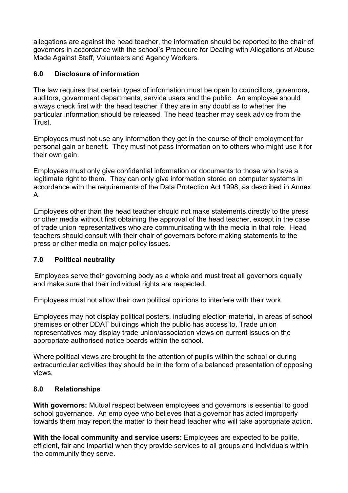allegations are against the head teacher, the information should be reported to the chair of governors in accordance with the school's Procedure for Dealing with Allegations of Abuse Made Against Staff, Volunteers and Agency Workers.

## **6.0 Disclosure of information**

The law requires that certain types of information must be open to councillors, governors, auditors, government departments, service users and the public. An employee should always check first with the head teacher if they are in any doubt as to whether the particular information should be released. The head teacher may seek advice from the Trust.

Employees must not use any information they get in the course of their employment for personal gain or benefit. They must not pass information on to others who might use it for their own gain.

Employees must only give confidential information or documents to those who have a legitimate right to them. They can only give information stored on computer systems in accordance with the requirements of the Data Protection Act 1998, as described in Annex A.

Employees other than the head teacher should not make statements directly to the press or other media without first obtaining the approval of the head teacher, except in the case of trade union representatives who are communicating with the media in that role. Head teachers should consult with their chair of governors before making statements to the press or other media on major policy issues.

## **7.0 Political neutrality**

 Employees serve their governing body as a whole and must treat all governors equally and make sure that their individual rights are respected.

Employees must not allow their own political opinions to interfere with their work.

Employees may not display political posters, including election material, in areas of school premises or other DDAT buildings which the public has access to. Trade union representatives may display trade union/association views on current issues on the appropriate authorised notice boards within the school.

Where political views are brought to the attention of pupils within the school or during extracurricular activities they should be in the form of a balanced presentation of opposing views.

## **8.0 Relationships**

**With governors:** Mutual respect between employees and governors is essential to good school governance. An employee who believes that a governor has acted improperly towards them may report the matter to their head teacher who will take appropriate action.

**With the local community and service users:** Employees are expected to be polite, efficient, fair and impartial when they provide services to all groups and individuals within the community they serve.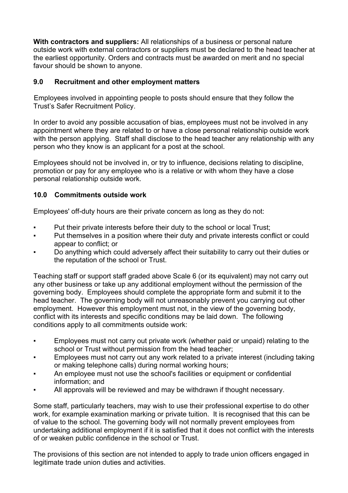**With contractors and suppliers:** All relationships of a business or personal nature outside work with external contractors or suppliers must be declared to the head teacher at the earliest opportunity. Orders and contracts must be awarded on merit and no special favour should be shown to anyone.

## **9.0 Recruitment and other employment matters**

 Employees involved in appointing people to posts should ensure that they follow the Trust's Safer Recruitment Policy.

In order to avoid any possible accusation of bias, employees must not be involved in any appointment where they are related to or have a close personal relationship outside work with the person applying. Staff shall disclose to the head teacher any relationship with any person who they know is an applicant for a post at the school.

Employees should not be involved in, or try to influence, decisions relating to discipline, promotion or pay for any employee who is a relative or with whom they have a close personal relationship outside work.

# **10.0 Commitments outside work**

Employees' off-duty hours are their private concern as long as they do not:

- **•** Put their private interests before their duty to the school or local Trust;
- Put themselves in a position where their duty and private interests conflict or could appear to conflict; or
- Do anything which could adversely affect their suitability to carry out their duties or the reputation of the school or Trust.

Teaching staff or support staff graded above Scale 6 (or its equivalent) may not carry out any other business or take up any additional employment without the permission of the governing body. Employees should complete the appropriate form and submit it to the head teacher. The governing body will not unreasonably prevent you carrying out other employment. However this employment must not, in the view of the governing body, conflict with its interests and specific conditions may be laid down. The following conditions apply to all commitments outside work:

- Employees must not carry out private work (whether paid or unpaid) relating to the school or Trust without permission from the head teacher;
- **Employees must not carry out any work related to a private interest (including taking** or making telephone calls) during normal working hours;
- An employee must not use the school's facilities or equipment or confidential information; and
- All approvals will be reviewed and may be withdrawn if thought necessary.

Some staff, particularly teachers, may wish to use their professional expertise to do other work, for example examination marking or private tuition. It is recognised that this can be of value to the school. The governing body will not normally prevent employees from undertaking additional employment if it is satisfied that it does not conflict with the interests of or weaken public confidence in the school or Trust.

The provisions of this section are not intended to apply to trade union officers engaged in legitimate trade union duties and activities.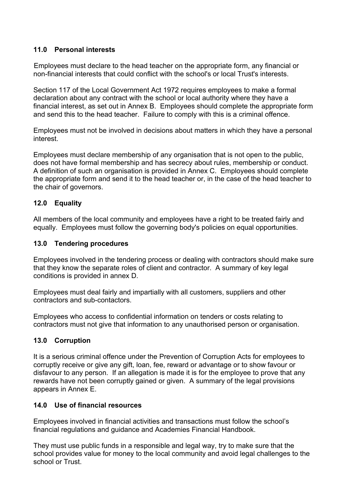## **11.0 Personal interests**

 Employees must declare to the head teacher on the appropriate form, any financial or non-financial interests that could conflict with the school's or local Trust's interests.

Section 117 of the Local Government Act 1972 requires employees to make a formal declaration about any contract with the school or local authority where they have a financial interest, as set out in Annex B. Employees should complete the appropriate form and send this to the head teacher. Failure to comply with this is a criminal offence.

Employees must not be involved in decisions about matters in which they have a personal interest.

Employees must declare membership of any organisation that is not open to the public, does not have formal membership and has secrecy about rules, membership or conduct. A definition of such an organisation is provided in Annex C. Employees should complete the appropriate form and send it to the head teacher or, in the case of the head teacher to the chair of governors.

## **12.0 Equality**

All members of the local community and employees have a right to be treated fairly and equally. Employees must follow the governing body's policies on equal opportunities.

#### **13.0 Tendering procedures**

Employees involved in the tendering process or dealing with contractors should make sure that they know the separate roles of client and contractor. A summary of key legal conditions is provided in annex D.

Employees must deal fairly and impartially with all customers, suppliers and other contractors and sub-contactors.

Employees who access to confidential information on tenders or costs relating to contractors must not give that information to any unauthorised person or organisation.

#### **13.0 Corruption**

It is a serious criminal offence under the Prevention of Corruption Acts for employees to corruptly receive or give any gift, loan, fee, reward or advantage or to show favour or disfavour to any person. If an allegation is made it is for the employee to prove that any rewards have not been corruptly gained or given. A summary of the legal provisions appears in Annex E.

#### **14.0 Use of financial resources**

Employees involved in financial activities and transactions must follow the school's financial regulations and guidance and Academies Financial Handbook.

They must use public funds in a responsible and legal way, try to make sure that the school provides value for money to the local community and avoid legal challenges to the school or Trust.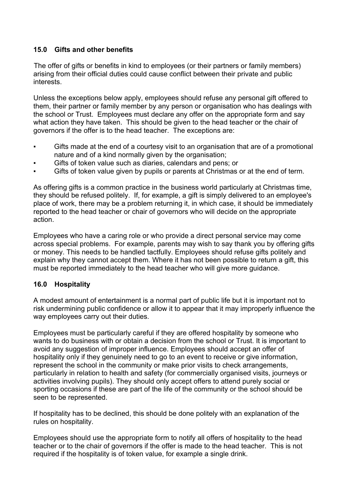## **15.0 Gifts and other benefits**

 The offer of gifts or benefits in kind to employees (or their partners or family members) arising from their official duties could cause conflict between their private and public interests.

Unless the exceptions below apply, employees should refuse any personal gift offered to them, their partner or family member by any person or organisation who has dealings with the school or Trust. Employees must declare any offer on the appropriate form and say what action they have taken. This should be given to the head teacher or the chair of governors if the offer is to the head teacher. The exceptions are:

- Gifts made at the end of a courtesy visit to an organisation that are of a promotional nature and of a kind normally given by the organisation;
- Gifts of token value such as diaries, calendars and pens; or
- Gifts of token value given by pupils or parents at Christmas or at the end of term.

As offering gifts is a common practice in the business world particularly at Christmas time, they should be refused politely. If, for example, a gift is simply delivered to an employee's place of work, there may be a problem returning it, in which case, it should be immediately reported to the head teacher or chair of governors who will decide on the appropriate action.

Employees who have a caring role or who provide a direct personal service may come across special problems. For example, parents may wish to say thank you by offering gifts or money. This needs to be handled tactfully. Employees should refuse gifts politely and explain why they cannot accept them. Where it has not been possible to return a gift, this must be reported immediately to the head teacher who will give more guidance.

## **16.0 Hospitality**

A modest amount of entertainment is a normal part of public life but it is important not to risk undermining public confidence or allow it to appear that it may improperly influence the way employees carry out their duties.

Employees must be particularly careful if they are offered hospitality by someone who wants to do business with or obtain a decision from the school or Trust. It is important to avoid any suggestion of improper influence. Employees should accept an offer of hospitality only if they genuinely need to go to an event to receive or give information, represent the school in the community or make prior visits to check arrangements, particularly in relation to health and safety (for commercially organised visits, journeys or activities involving pupils). They should only accept offers to attend purely social or sporting occasions if these are part of the life of the community or the school should be seen to be represented.

If hospitality has to be declined, this should be done politely with an explanation of the rules on hospitality.

Employees should use the appropriate form to notify all offers of hospitality to the head teacher or to the chair of governors if the offer is made to the head teacher. This is not required if the hospitality is of token value, for example a single drink.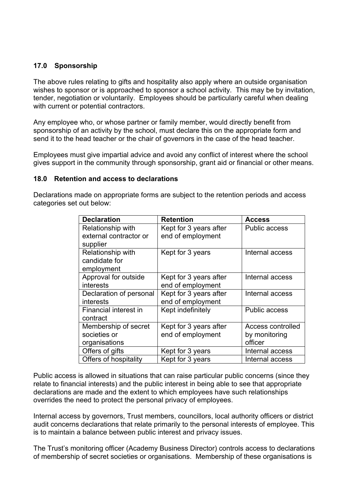#### **17.0 Sponsorship**

The above rules relating to gifts and hospitality also apply where an outside organisation wishes to sponsor or is approached to sponsor a school activity. This may be by invitation, tender, negotiation or voluntarily. Employees should be particularly careful when dealing with current or potential contractors.

Any employee who, or whose partner or family member, would directly benefit from sponsorship of an activity by the school, must declare this on the appropriate form and send it to the head teacher or the chair of governors in the case of the head teacher.

Employees must give impartial advice and avoid any conflict of interest where the school gives support in the community through sponsorship, grant aid or financial or other means.

#### **18.0 Retention and access to declarations**

Declarations made on appropriate forms are subject to the retention periods and access categories set out below:

| <b>Declaration</b>      | <b>Retention</b>       | <b>Access</b>        |
|-------------------------|------------------------|----------------------|
| Relationship with       | Kept for 3 years after | <b>Public access</b> |
| external contractor or  | end of employment      |                      |
| supplier                |                        |                      |
| Relationship with       | Kept for 3 years       | Internal access      |
| candidate for           |                        |                      |
| employment              |                        |                      |
| Approval for outside    | Kept for 3 years after | Internal access      |
| interests               | end of employment      |                      |
| Declaration of personal | Kept for 3 years after | Internal access      |
| interests               | end of employment      |                      |
| Financial interest in   | Kept indefinitely      | <b>Public access</b> |
| contract                |                        |                      |
| Membership of secret    | Kept for 3 years after | Access controlled    |
| societies or            | end of employment      | by monitoring        |
| organisations           |                        | officer              |
| Offers of gifts         | Kept for 3 years       | Internal access      |
| Offers of hospitality   | Kept for 3 years       | Internal access      |

Public access is allowed in situations that can raise particular public concerns (since they relate to financial interests) and the public interest in being able to see that appropriate declarations are made and the extent to which employees have such relationships overrides the need to protect the personal privacy of employees.

Internal access by governors, Trust members, councillors, local authority officers or district audit concerns declarations that relate primarily to the personal interests of employee. This is to maintain a balance between public interest and privacy issues.

The Trust's monitoring officer (Academy Business Director) controls access to declarations of membership of secret societies or organisations. Membership of these organisations is